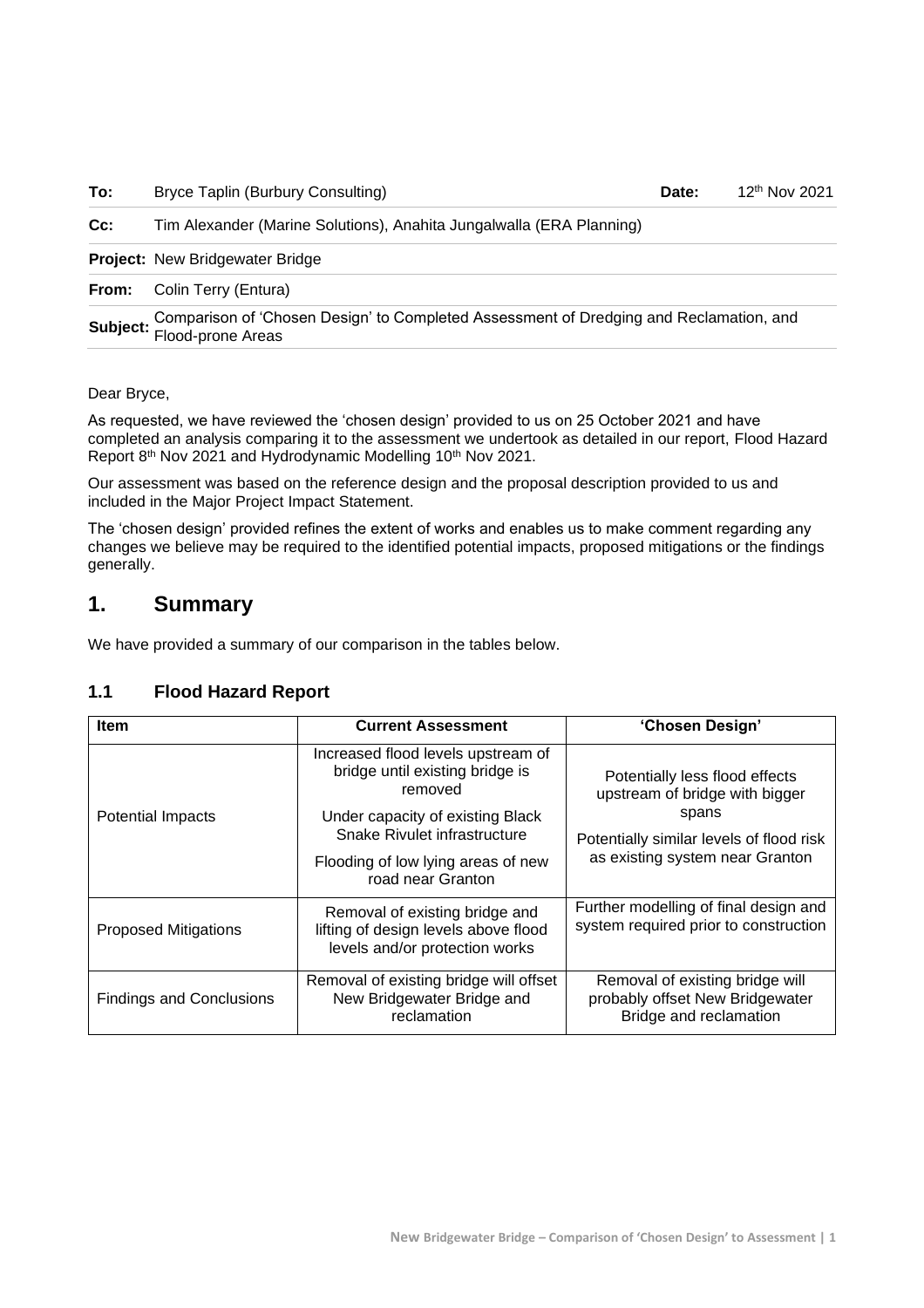| To: | <b>Bryce Taplin (Burbury Consulting)</b> | Date: | 12 |
|-----|------------------------------------------|-------|----|
|-----|------------------------------------------|-------|----|

**Cc:** Tim Alexander (Marine Solutions), Anahita Jungalwalla (ERA Planning)

**Project:** New Bridgewater Bridge

**From:** Colin Terry (Entura)

**Subject:** Comparison of 'Chosen Design' to Completed Assessment of Dredging and Reclamation, and Flood-prone Areas

12<sup>th</sup> Nov 2021

Dear Bryce,

As requested, we have reviewed the 'chosen design' provided to us on 25 October 2021 and have completed an analysis comparing it to the assessment we undertook as detailed in our report, Flood Hazard Report 8<sup>th</sup> Nov 2021 and Hydrodynamic Modelling 10<sup>th</sup> Nov 2021.

Our assessment was based on the reference design and the proposal description provided to us and included in the Major Project Impact Statement.

The 'chosen design' provided refines the extent of works and enables us to make comment regarding any changes we believe may be required to the identified potential impacts, proposed mitigations or the findings generally.

### **1. Summary**

We have provided a summary of our comparison in the tables below.

#### **1.1 Flood Hazard Report**

| <b>Item</b>                     | <b>Current Assessment</b>                                                                                | 'Chosen Design'                                                                              |
|---------------------------------|----------------------------------------------------------------------------------------------------------|----------------------------------------------------------------------------------------------|
|                                 | Increased flood levels upstream of<br>bridge until existing bridge is<br>removed                         | Potentially less flood effects<br>upstream of bridge with bigger                             |
| Potential Impacts               | Under capacity of existing Black<br>Snake Rivulet infrastructure                                         | spans<br>Potentially similar levels of flood risk                                            |
|                                 | Flooding of low lying areas of new<br>road near Granton                                                  | as existing system near Granton                                                              |
| <b>Proposed Mitigations</b>     | Removal of existing bridge and<br>lifting of design levels above flood<br>levels and/or protection works | Further modelling of final design and<br>system required prior to construction               |
| <b>Findings and Conclusions</b> | Removal of existing bridge will offset<br>New Bridgewater Bridge and<br>reclamation                      | Removal of existing bridge will<br>probably offset New Bridgewater<br>Bridge and reclamation |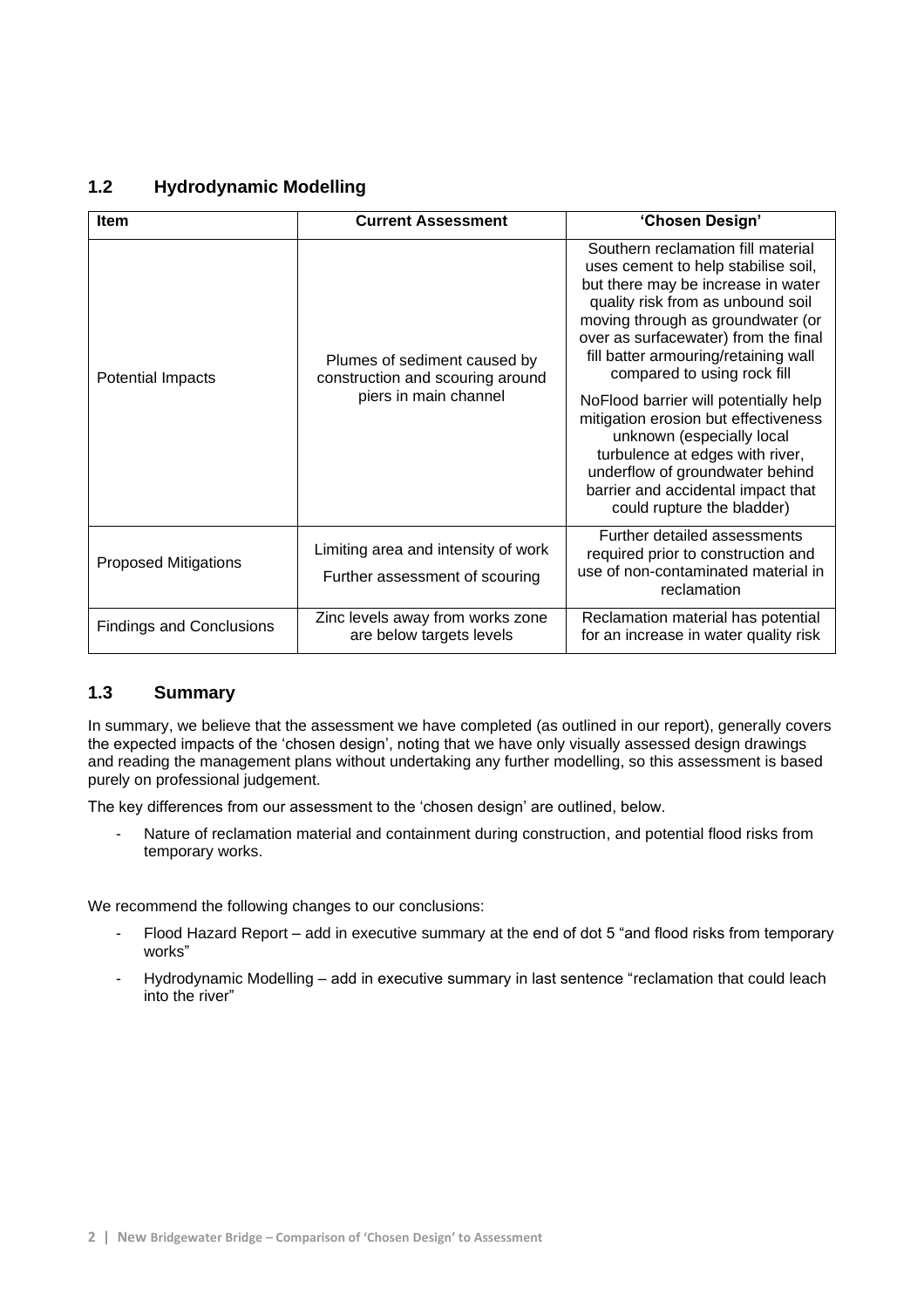#### **1.2 Hydrodynamic Modelling**

| <b>Item</b>                     | <b>Current Assessment</b>                                                                 | 'Chosen Design'                                                                                                                                                                                                                                                                                          |
|---------------------------------|-------------------------------------------------------------------------------------------|----------------------------------------------------------------------------------------------------------------------------------------------------------------------------------------------------------------------------------------------------------------------------------------------------------|
| Potential Impacts               | Plumes of sediment caused by<br>construction and scouring around<br>piers in main channel | Southern reclamation fill material<br>uses cement to help stabilise soil,<br>but there may be increase in water<br>quality risk from as unbound soil<br>moving through as groundwater (or<br>over as surfacewater) from the final<br>fill batter armouring/retaining wall<br>compared to using rock fill |
|                                 |                                                                                           | NoFlood barrier will potentially help<br>mitigation erosion but effectiveness<br>unknown (especially local<br>turbulence at edges with river,<br>underflow of groundwater behind<br>barrier and accidental impact that<br>could rupture the bladder)                                                     |
| <b>Proposed Mitigations</b>     | Limiting area and intensity of work<br>Further assessment of scouring                     | Further detailed assessments<br>required prior to construction and<br>use of non-contaminated material in<br>reclamation                                                                                                                                                                                 |
| <b>Findings and Conclusions</b> | Zinc levels away from works zone<br>are below targets levels                              | Reclamation material has potential<br>for an increase in water quality risk                                                                                                                                                                                                                              |

#### **1.3 Summary**

In summary, we believe that the assessment we have completed (as outlined in our report), generally covers the expected impacts of the 'chosen design', noting that we have only visually assessed design drawings and reading the management plans without undertaking any further modelling, so this assessment is based purely on professional judgement.

The key differences from our assessment to the 'chosen design' are outlined, below.

- Nature of reclamation material and containment during construction, and potential flood risks from temporary works.

We recommend the following changes to our conclusions:

- Flood Hazard Report add in executive summary at the end of dot 5 "and flood risks from temporary works"
- Hydrodynamic Modelling add in executive summary in last sentence "reclamation that could leach into the river"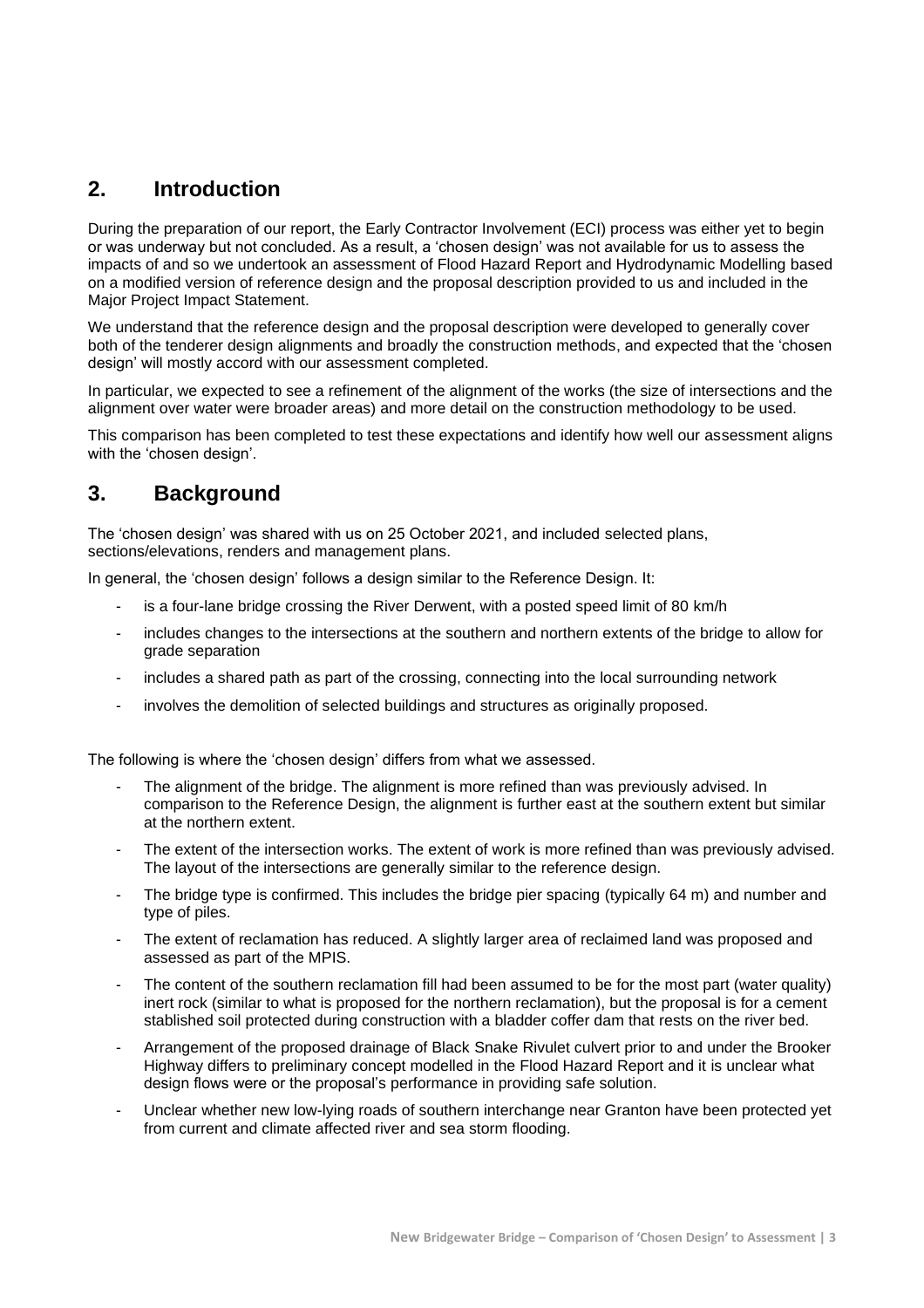## **2. Introduction**

During the preparation of our report, the Early Contractor Involvement (ECI) process was either yet to begin or was underway but not concluded. As a result, a 'chosen design' was not available for us to assess the impacts of and so we undertook an assessment of Flood Hazard Report and Hydrodynamic Modelling based on a modified version of reference design and the proposal description provided to us and included in the Major Project Impact Statement.

We understand that the reference design and the proposal description were developed to generally cover both of the tenderer design alignments and broadly the construction methods, and expected that the 'chosen design' will mostly accord with our assessment completed.

In particular, we expected to see a refinement of the alignment of the works (the size of intersections and the alignment over water were broader areas) and more detail on the construction methodology to be used.

This comparison has been completed to test these expectations and identify how well our assessment aligns with the 'chosen design'.

## **3. Background**

The 'chosen design' was shared with us on 25 October 2021, and included selected plans, sections/elevations, renders and management plans.

In general, the 'chosen design' follows a design similar to the Reference Design. It:

- is a four-lane bridge crossing the River Derwent, with a posted speed limit of 80 km/h
- includes changes to the intersections at the southern and northern extents of the bridge to allow for grade separation
- includes a shared path as part of the crossing, connecting into the local surrounding network
- involves the demolition of selected buildings and structures as originally proposed.

The following is where the 'chosen design' differs from what we assessed.

- The alignment of the bridge. The alignment is more refined than was previously advised. In comparison to the Reference Design, the alignment is further east at the southern extent but similar at the northern extent.
- The extent of the intersection works. The extent of work is more refined than was previously advised. The layout of the intersections are generally similar to the reference design.
- The bridge type is confirmed. This includes the bridge pier spacing (typically 64 m) and number and type of piles.
- The extent of reclamation has reduced. A slightly larger area of reclaimed land was proposed and assessed as part of the MPIS.
- The content of the southern reclamation fill had been assumed to be for the most part (water quality) inert rock (similar to what is proposed for the northern reclamation), but the proposal is for a cement stablished soil protected during construction with a bladder coffer dam that rests on the river bed.
- Arrangement of the proposed drainage of Black Snake Rivulet culvert prior to and under the Brooker Highway differs to preliminary concept modelled in the Flood Hazard Report and it is unclear what design flows were or the proposal's performance in providing safe solution.
- Unclear whether new low-lying roads of southern interchange near Granton have been protected yet from current and climate affected river and sea storm flooding.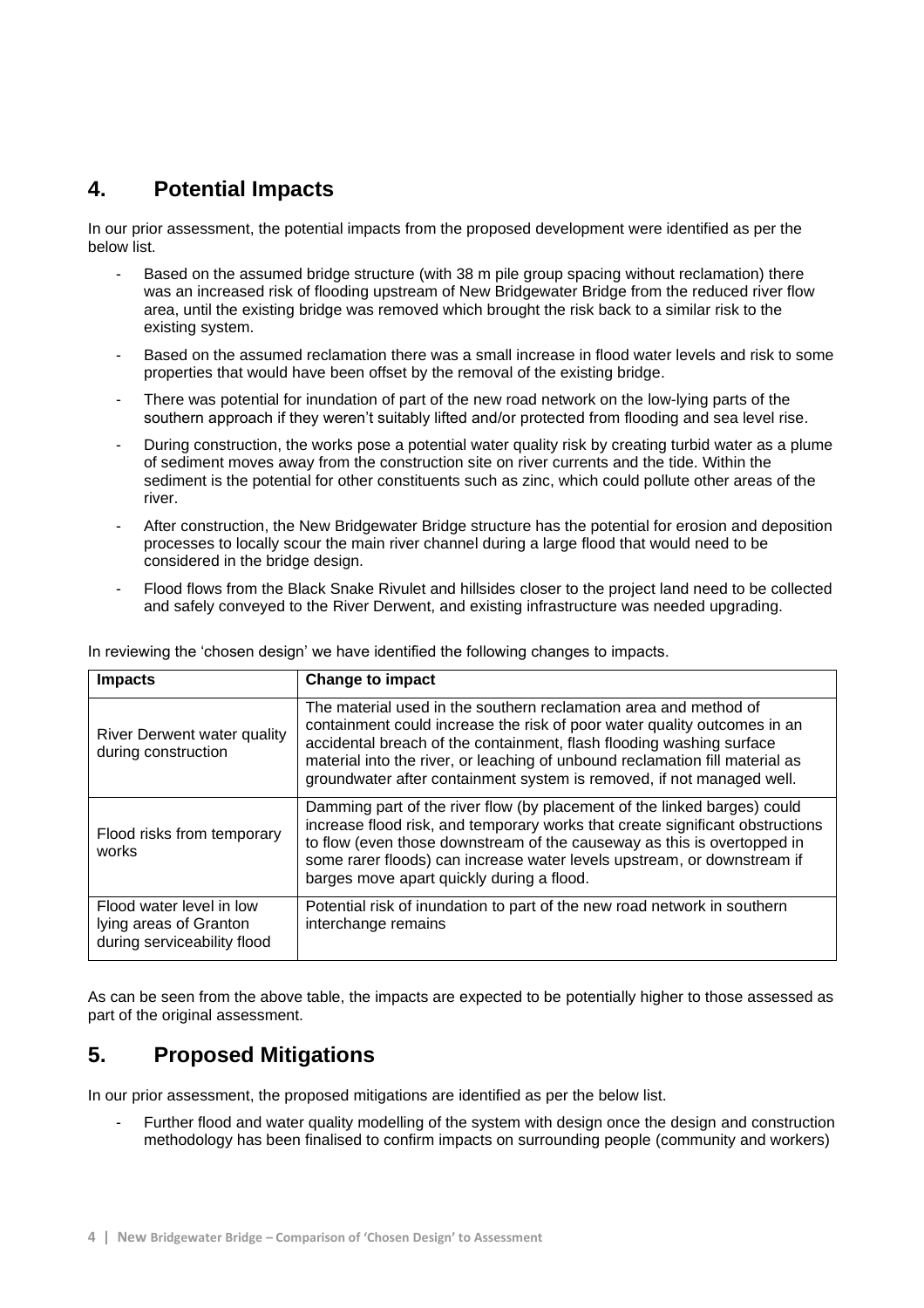# **4. Potential Impacts**

In our prior assessment, the potential impacts from the proposed development were identified as per the below list.

- Based on the assumed bridge structure (with 38 m pile group spacing without reclamation) there was an increased risk of flooding upstream of New Bridgewater Bridge from the reduced river flow area, until the existing bridge was removed which brought the risk back to a similar risk to the existing system.
- Based on the assumed reclamation there was a small increase in flood water levels and risk to some properties that would have been offset by the removal of the existing bridge.
- There was potential for inundation of part of the new road network on the low-lying parts of the southern approach if they weren't suitably lifted and/or protected from flooding and sea level rise.
- During construction, the works pose a potential water quality risk by creating turbid water as a plume of sediment moves away from the construction site on river currents and the tide. Within the sediment is the potential for other constituents such as zinc, which could pollute other areas of the river.
- After construction, the New Bridgewater Bridge structure has the potential for erosion and deposition processes to locally scour the main river channel during a large flood that would need to be considered in the bridge design.
- Flood flows from the Black Snake Rivulet and hillsides closer to the project land need to be collected and safely conveyed to the River Derwent, and existing infrastructure was needed upgrading.

| <b>Impacts</b>                                                                    | <b>Change to impact</b>                                                                                                                                                                                                                                                                                                                                                       |
|-----------------------------------------------------------------------------------|-------------------------------------------------------------------------------------------------------------------------------------------------------------------------------------------------------------------------------------------------------------------------------------------------------------------------------------------------------------------------------|
| River Derwent water quality<br>during construction                                | The material used in the southern reclamation area and method of<br>containment could increase the risk of poor water quality outcomes in an<br>accidental breach of the containment, flash flooding washing surface<br>material into the river, or leaching of unbound reclamation fill material as<br>groundwater after containment system is removed, if not managed well. |
| Flood risks from temporary<br>works                                               | Damming part of the river flow (by placement of the linked barges) could<br>increase flood risk, and temporary works that create significant obstructions<br>to flow (even those downstream of the causeway as this is overtopped in<br>some rarer floods) can increase water levels upstream, or downstream if<br>barges move apart quickly during a flood.                  |
| Flood water level in low<br>lying areas of Granton<br>during serviceability flood | Potential risk of inundation to part of the new road network in southern<br>interchange remains                                                                                                                                                                                                                                                                               |

In reviewing the 'chosen design' we have identified the following changes to impacts.

As can be seen from the above table, the impacts are expected to be potentially higher to those assessed as part of the original assessment.

# **5. Proposed Mitigations**

In our prior assessment, the proposed mitigations are identified as per the below list.

Further flood and water quality modelling of the system with design once the design and construction methodology has been finalised to confirm impacts on surrounding people (community and workers)